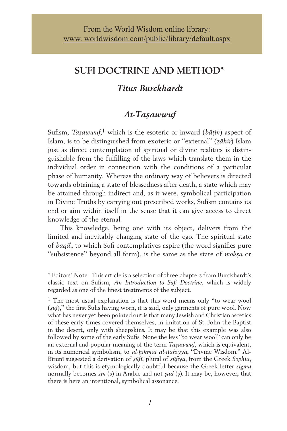# **SUFI DOCTRINE AND METHOD\***

## *Titus Burckhardt*

## *At-Taṣawwuf*

Sufism, *Taṣawwuf*, 1 which is the esoteric or inward (*bāṭin*) aspect of Islam, is to be distinguished from exoteric or "external" (*ẓāhir*) Islam just as direct contemplation of spiritual or divine realities is distinguishable from the fulfilling of the laws which translate them in the individual order in connection with the conditions of a particular phase of humanity. Whereas the ordinary way of believers is directed towards obtaining a state of blessedness after death, a state which may be attained through indirect and, as it were, symbolical participation in Divine Truths by carrying out prescribed works, Sufism contains its end or aim within itself in the sense that it can give access to direct knowledge of the eternal.

This knowledge, being one with its object, delivers from the limited and inevitably changing state of the ego. The spiritual state of *baq* $\vec{a}$ , to which Sufi contemplatives aspire (the word signifies pure "subsistence" beyond all form), is the same as the state of *mokṣa* or

 classic text on Sufism, *An Introduction to Sufi Doctrine*, which is widely \* Editors' Note: This article is a selection of three chapters from Burckhardt's regarded as one of the finest treatments of the subject.

<sup>1</sup> The most usual explanation is that this word means only "to wear wool (*sūf*)," the first Sufis having worn, it is said, only garments of pure wool. Now what has never yet been pointed out is that many Jewish and Christian ascetics of these early times covered themselves, in imitation of St. John the Baptist in the desert, only with sheepskins. It may be that this example was also followed by some of the early Sufis. None the less "to wear wool" can only be an external and popular meaning of the term *Taṣawwuf*, which is equivalent, in its numerical symbolism, to *al-ḥikmat al-ilāhiyya*, "Divine Wisdom." Al-Bīrunī suggested a derivation of *ṣūfī*, plural of *ṣūfiya*, from the Greek *Sophia*, wisdom, but this is etymologically doubtful because the Greek letter *sigma*  normally becomes *sīn* (s) in Arabic and not *ṣād* (ṣ). It may be, however, that there is here an intentional, symbolical assonance.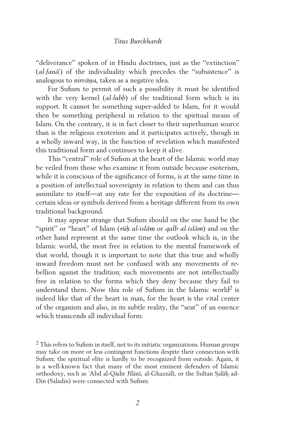"deliverance" spoken of in Hindu doctrines, just as the "extinction" (*al-fanāʾ*) of the individuality which precedes the "subsistence" is analogous to *nirvāṇa*, taken as a negative idea.

For Sufism to permit of such a possibility it must be identified with the very kernel (*al-lubb*) of the traditional form which is its support. It cannot be something super-added to Islam, for it would then be something peripheral in relation to the spiritual means of Islam. On the contrary, it is in fact closer to their superhuman source than is the religious exoterism and it participates actively, though in a wholly inward way, in the function of revelation which manifested this traditional form and continues to keep it alive.

This "central" role of Sufism at the heart of the Islamic world may be veiled from those who examine it from outside because esoterism, while it is conscious of the significance of forms, is at the same time in a position of intellectual sovereignty in relation to them and can thus assimilate to itself—at any rate for the exposition of its doctrine certain ideas or symbols derived from a heritage different from its own traditional background.

It may appear strange that Sufism should on the one hand be the "spirit" or "heart" of Islam (*rūḥ al-islām* or *qalb al-islām*) and on the other hand represent at the same time the outlook which is, in the Islamic world, the most free in relation to the mental framework of that world, though it is important to note that this true and wholly inward freedom must not be confused with any movements of rebellion against the tradition; such movements are not intellectually free in relation to the forms which they deny because they fail to understand them. Now this role of Sufism in the Islamic world<sup>2</sup> is indeed like that of the heart in man, for the heart is the vital center of the organism and also, in its subtle reality, the "seat" of an essence which transcends all individual form.

 $2$  This refers to Sufism in itself, not to its initiatic organizations. Human groups may take on more or less contingent functions despite their connection with Sufism; the spiritual elite is hardly to be recognized from outside. Again, it is a well-known fact that many of the most eminent defenders of Islamic orthodoxy, such as ʿAbd al-Qādir Jīlānī, al-Ghazzālī, or the Sultan Ṣalāḥ ad-Din (Saladin) were connected with Sufism.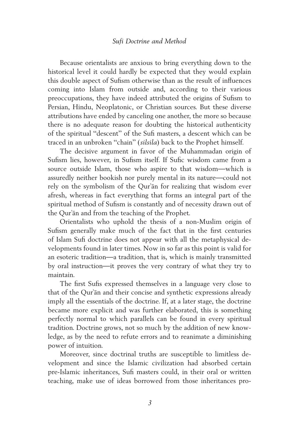#### *Sufi Doctrine and Method*

Because orientalists are anxious to bring everything down to the historical level it could hardly be expected that they would explain this double aspect of Sufism otherwise than as the result of influences coming into Islam from outside and, according to their various preoccupations, they have indeed attributed the origins of Sufism to Persian, Hindu, Neoplatonic, or Christian sources. But these diverse attributions have ended by canceling one another, the more so because there is no adequate reason for doubting the historical authenticity of the spiritual "descent" of the Sufi masters, a descent which can be traced in an unbroken "chain" (*silsila*) back to the Prophet himself.

The decisive argument in favor of the Muhammadan origin of Sufism lies, however, in Sufism itself. If Sufic wisdom came from a source outside Islam, those who aspire to that wisdom—which is assuredly neither bookish nor purely mental in its nature—could not rely on the symbolism of the Qurʾān for realizing that wisdom ever afresh, whereas in fact everything that forms an integral part of the spiritual method of Sufism is constantly and of necessity drawn out of the Qurʾān and from the teaching of the Prophet.

Orientalists who uphold the thesis of a non-Muslim origin of Sufism generally make much of the fact that in the first centuries of Islam Sufi doctrine does not appear with all the metaphysical developments found in later times. Now in so far as this point is valid for an esoteric tradition—a tradition, that is, which is mainly transmitted by oral instruction—it proves the very contrary of what they try to maintain.

The first Sufis expressed themselves in a language very close to that of the Qurʾān and their concise and synthetic expressions already imply all the essentials of the doctrine. If, at a later stage, the doctrine became more explicit and was further elaborated, this is something perfectly normal to which parallels can be found in every spiritual tradition. Doctrine grows, not so much by the addition of new knowledge, as by the need to refute errors and to reanimate a diminishing power of intuition.

Moreover, since doctrinal truths are susceptible to limitless development and since the Islamic civilization had absorbed certain pre-Islamic inheritances, Sufi masters could, in their oral or written teaching, make use of ideas borrowed from those inheritances pro-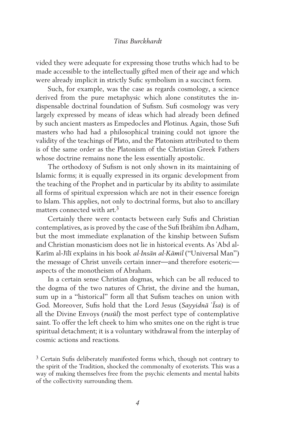vided they were adequate for expressing those truths which had to be made accessible to the intellectually gifted men of their age and which were already implicit in strictly Sufic symbolism in a succinct form.

 by such ancient masters as Empedocles and Plotinus. Again, those Sufi Such, for example, was the case as regards cosmology, a science derived from the pure metaphysic which alone constitutes the indispensable doctrinal foundation of Sufism. Sufi cosmology was very largely expressed by means of ideas which had already been defined masters who had had a philosophical training could not ignore the validity of the teachings of Plato, and the Platonism attributed to them is of the same order as the Platonism of the Christian Greek Fathers whose doctrine remains none the less essentially apostolic.

The orthodoxy of Sufism is not only shown in its maintaining of Islamic forms; it is equally expressed in its organic development from the teaching of the Prophet and in particular by its ability to assimilate all forms of spiritual expression which are not in their essence foreign to Islam. This applies, not only to doctrinal forms, but also to ancillary matters connected with art.3

 contemplatives, as is proved by the case of the Sufi Ibrāhīm ibn Adham, Certainly there were contacts between early Sufis and Christian but the most immediate explanation of the kinship between Sufism and Christian monasticism does not lie in historical events. As ʿAbd al-Karīm al-Jīlī explains in his book *al-Insān al-Kāmil* ("Universal Man") the message of Christ unveils certain inner—and therefore esoteric aspects of the monotheism of Abraham.

 God. Moreover, Sufis hold that the Lord Jesus (*Sayyidnā ʿĪsa*) is of In a certain sense Christian dogmas, which can be all reduced to the dogma of the two natures of Christ, the divine and the human, sum up in a "historical" form all that Sufism teaches on union with all the Divine Envoys (*rusūl*) the most perfect type of contemplative saint. To offer the left cheek to him who smites one on the right is true spiritual detachment; it is a voluntary withdrawal from the interplay of cosmic actions and reactions.

<sup>3</sup> Certain Sufis deliberately manifested forms which, though not contrary to the spirit of the Tradition, shocked the commonalty of exoterists. This was a way of making themselves free from the psychic elements and mental habits of the collectivity surrounding them.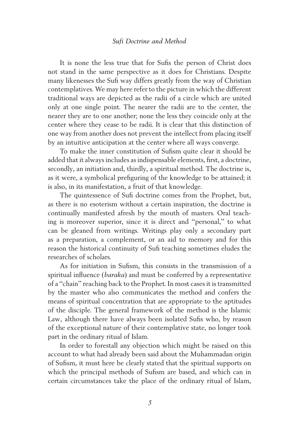#### *Sufi Doctrine and Method*

It is none the less true that for Sufis the person of Christ does not stand in the same perspective as it does for Christians. Despite many likenesses the Sufi way differs greatly from the way of Christian contemplatives. We may here refer to the picture in which the different traditional ways are depicted as the radii of a circle which are united only at one single point. The nearer the radii are to the center, the nearer they are to one another; none the less they coincide only at the center where they cease to be radii. It is clear that this distinction of one way from another does not prevent the intellect from placing itself by an intuitive anticipation at the center where all ways converge.

To make the inner constitution of Sufism quite clear it should be added that it always includes as indispensable elements, first, a doctrine, secondly, an initiation and, thirdly, a spiritual method. The doctrine is, as it were, a symbolical prefiguring of the knowledge to be attained; it is also, in its manifestation, a fruit of that knowledge.

The quintessence of Sufi doctrine comes from the Prophet, but, as there is no esoterism without a certain inspiration, the doctrine is continually manifested afresh by the mouth of masters. Oral teaching is moreover superior, since it is direct and "personal," to what can be gleaned from writings. Writings play only a secondary part as a preparation, a complement, or an aid to memory and for this reason the historical continuity of Sufi teaching sometimes eludes the re searches of scholars.

As for initiation in Sufism, this consists in the transmission of a spiritual influence (*baraka*) and must be conferred by a representative of a "chain" reaching back to the Prophet. In most cases it is transmitted by the master who also communicates the method and confers the means of spiritual concentration that are appropriate to the aptitudes of the disciple. The general framework of the method is the Islamic Law, although there have always been isolated Sufis who, by reason of the exceptional nature of their contemplative state, no longer took part in the ordinary ritual of Islam.

In order to forestall any objection which might be raised on this account to what had already been said about the Muhammadan origin of Sufism, it must here be clearly stated that the spiritual supports on which the principal methods of Sufism are based, and which can in certain circumstances take the place of the ordinary ritual of Islam,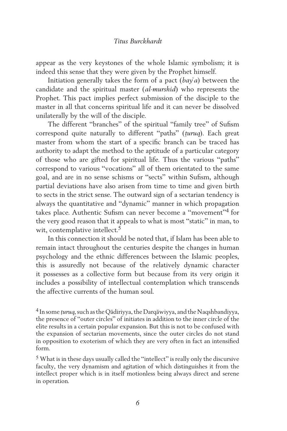appear as the very keystones of the whole Islamic symbolism; it is indeed this sense that they were given by the Prophet himself.

Initiation generally takes the form of a pact  $(ba\hat{v}a)$  between the candidate and the spiritual master (*al-murshid*) who represents the Prophet. This pact implies perfect submission of the disciple to the master in all that concerns spiritual life and it can never be dissolved unilaterally by the will of the disciple.

The different "branches" of the spiritual "family tree" of Sufism correspond quite naturally to different "paths" (*ṭuruq*)*.* Each great master from whom the start of a specific branch can be traced has authority to adapt the method to the aptitude of a particular category of those who are gifted for spiritual life. Thus the various "paths" correspond to various "vocations" all of them orientated to the same goal, and are in no sense schisms or "sects" within Sufism, although partial deviations have also arisen from time to time and given birth to sects in the strict sense. The outward sign of a sectarian tendency is always the quantitative and "dynamic" manner in which propagation takes place. Authentic Sufism can never become a "movement"4 for the very good reason that it appeals to what is most "static" in man, to wit, contemplative intellect.<sup>5</sup>

In this connection it should be noted that, if Islam has been able to remain intact throughout the centuries despite the changes in human psychology and the ethnic differences between the Islamic peoples, this is assuredly not because of the relatively dynamic character it possesses as a collective form but because from its very origin it includes a possibility of intellectual contemplation which transcends the affective currents of the human soul.

4 In some *ṭuruq*, such as the Qādiriyya, the Darqāwiyya, and the Naqshbandiyya, the presence of "outer circles" of initiates in addition to the inner circle of the elite results in a certain popular expansion. But this is not to be confused with the expansion of sectarian movements, since the outer circles do not stand in opposition to exoterism of which they are very often in fact an intensified form.

5 What is in these days usually called the "intellect" is really only the discursive faculty, the very dynamism and agitation of which distinguishes it from the intellect proper which is in itself motionless being always direct and serene in operation.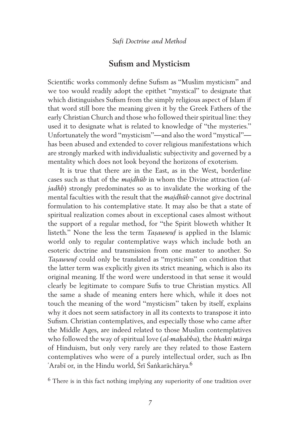### **Sufism and Mysticism**

Scientific works commonly define Sufism as "Muslim mysticism" and we too would readily adopt the epithet "mystical" to designate that which distinguishes Sufism from the simply religious aspect of Islam if that word still bore the meaning given it by the Greek Fathers of the early Christian Church and those who followed their spiritual line: they used it to designate what is related to knowledge of "the mysteries." Unfortunately the word "mysticism"—and also the word "mystical" has been abused and extended to cover religious manifestations which are strongly marked with individualistic subjectivity and governed by a mentality which does not look beyond the horizons of exoterism.

It is true that there are in the East, as in the West, borderline cases such as that of the *majdhūb* in whom the Divine attraction (*aljadhb*) strongly predominates so as to invalidate the working of the mental faculties with the result that the *majdhūb* cannot give doctrinal formulation to his contemplative state. It may also be that a state of spiritual realization comes about in exceptional cases almost without the support of a regular method, for "the Spirit bloweth whither It listeth." None the less the term *Taṣawwuf* is applied in the Islamic world only to regular contemplative ways which include both an esoteric doctrine and transmission from one master to another. So *Tasawwuf* could only be translated as "mysticism" on condition that the latter term was explicitly given its strict meaning, which is also its original meaning. If the word were understood in that sense it would clearly be legitimate to compare Sufis to true Christian mystics. All the same a shade of meaning enters here which, while it does not touch the meaning of the word "mysticism" taken by itself, explains why it does not seem satisfactory in all its contexts to transpose it into Sufism. Christian contemplatives, and especially those who came after the Middle Ages, are indeed related to those Muslim contemplatives who followed the way of spiritual love (*al-maḥabba*)*,* the *bhakti mārga*  of Hinduism, but only very rarely are they related to those Eastern contemplatives who were of a purely intellectual order, such as Ibn ʿArabī or, in the Hindu world, Śrī Śaṅkarāchārya.6

<sup>6</sup> There is in this fact nothing implying any superiority of one tradition over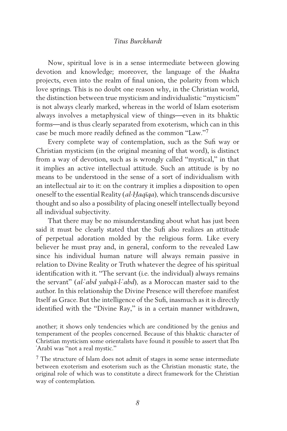Now, spiritual love is in a sense intermediate between glowing devotion and knowledge; moreover, the language of the *bhakta*  projects, even into the realm of final union, the polarity from which love springs. This is no doubt one reason why, in the Christian world, the distinction between true mysticism and individualistic "mysticism" is not always clearly marked, whereas in the world of Islam esoterism always involves a metaphysical view of things—even in its bhaktic forms—and is thus clearly separated from exoterism, which can in this case be much more readily defined as the common "Law."<sup>7</sup>

 Every complete way of contemplation, such as the Sufi way or Christian mysticism (in the original meaning of that word), is distinct from a way of devotion, such as is wrongly called "mystical," in that it implies an active intellectual attitude. Such an attitude is by no means to be understood in the sense of a sort of individualism with an intellectual air to it: on the contrary it implies a disposition to open oneself to the essential Reality (*al-Ḥaqīqa*)*,* which transcends discursive thought and so also a possibility of placing oneself intellectually beyond all individual subjectivity.

That there may be no misunderstanding about what has just been said it must be clearly stated that the Sufi also realizes an attitude of perpetual adoration molded by the religious form. Like every believer he must pray and, in general, conform to the revealed Law since his individual human nature will always remain passive in relation to Divine Reality or Truth whatever the degree of his spiritual identification with it. "The servant (i.e. the individual) always remains the servant" (*al-ʿabd yabqā-l-ʿabd*)*,* as a Moroccan master said to the author. In this relationship the Divine Presence will therefore manifest Itself as Grace. But the intelligence of the Sufi, inasmuch as it is directly identified with the "Divine Ray," is in a certain manner withdrawn,

another; it shows only tendencies which are conditioned by the genius and temperament of the peoples concerned. Because of this bhaktic character of Christian mysticism some orientalists have found it possible to assert that Ibn ʿArabī was "not a real mystic."

 $7$  The structure of Islam does not admit of stages in some sense intermediate between exoterism and esoterism such as the Christian monastic state, the original role of which was to constitute a direct framework for the Christian way of contemplation.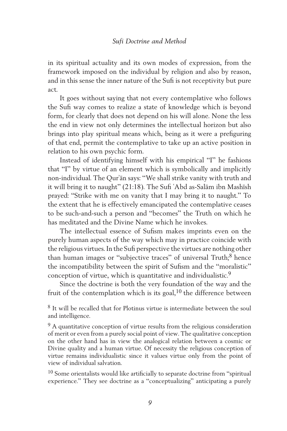in its spiritual actuality and its own modes of expression, from the framework imposed on the individual by religion and also by reason, and in this sense the inner nature of the Sufi is not receptivity but pure act.

It goes without saying that not every contemplative who follows the Sufi way comes to realize a state of knowledge which is beyond form, for clearly that does not depend on his will alone. None the less the end in view not only determines the intellectual horizon but also brings into play spiritual means which, being as it were a prefiguring of that end, permit the contemplative to take up an active position in relation to his own psychic form.

 it will bring it to naught" (21:18). The Sufi ʿAbd as-Salām ibn Mashīsh Instead of identifying himself with his empirical "I" he fashions that "I" by virtue of an element which is symbolically and implicitly non-individual. The Qurʾān says: "We shall strike vanity with truth and prayed: "Strike with me on vanity that I may bring it to naught." To the extent that he is effectively emancipated the contemplative ceases to be such-and-such a person and "becomes" the Truth on which he has meditated and the Divine Name which he invokes.

The intellectual essence of Sufism makes imprints even on the purely human aspects of the way which may in practice coincide with the religious virtues. In the Sufi perspective the virtues are nothing other than human images or "subjective traces" of universal Truth; $^8$  hence the incompatibility between the spirit of Sufism and the "moralistic" conception of virtue, which is quantitative and individualistic. $9$ 

Since the doctrine is both the very foundation of the way and the fruit of the contemplation which is its goal,<sup>10</sup> the difference between

<sup>8</sup> It will be recalled that for Plotinus virtue is intermediate between the soul and intelligence.

 $9$  A quantitative conception of virtue results from the religious consideration of merit or even from a purely social point of view. The qualitative conception on the other hand has in view the analogical relation between a cosmic or Divine quality and a human virtue. Of necessity the religious conception of virtue remains individualistic since it values virtue only from the point of view of individual salvation.

10 Some orientalists would like artificially to separate doctrine from "spiritual experience." They see doctrine as a "conceptualizing" anticipating a purely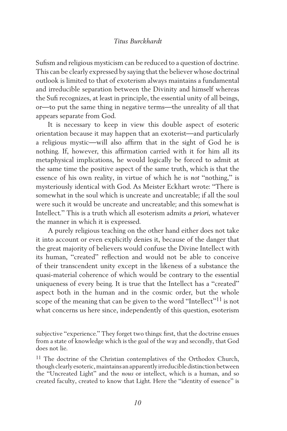Sufism and religious mysticism can be reduced to a question of doctrine. This can be clearly expressed by saying that the believer whose doctrinal outlook is limited to that of exoterism always maintains a fundamental and irreducible separation between the Divinity and himself whereas the Sufi recognizes, at least in principle, the essential unity of all beings, or—to put the same thing in negative terms—the unreality of all that appears separate from God.

It is necessary to keep in view this double aspect of esoteric orientation because it may happen that an exoterist—and particularly a religious mystic—will also affirm that in the sight of God he is nothing. If, however, this affirmation carried with it for him all its metaphysical implications, he would logically be forced to admit at the same time the positive aspect of the same truth, which is that the essence of his own reality, in virtue of which he is *not* "nothing," is mysteriously identical with God. As Meister Eckhart wrote: "There is somewhat in the soul which is uncreate and uncreatable; if all the soul were such it would be uncreate and uncreatable; and this somewhat is Intellect." This is a truth which all esoterism admits *a priori*, whatever the manner in which it is expressed.

A purely religious teaching on the other hand either does not take it into account or even explicitly denies it, because of the danger that the great majority of believers would confuse the Divine Intellect with its human, "created" reflection and would not be able to conceive of their transcendent unity except in the likeness of a substance the quasi-material coherence of which would be contrary to the essential uniqueness of every being. It is true that the Intellect has a "created" aspect both in the human and in the cosmic order, but the whole scope of the meaning that can be given to the word "Intellect"<sup>11</sup> is not what concerns us here since, independently of this question, esoterism

subjective "experience." They forget two things: first, that the doctrine ensues from a state of knowledge which is the goal of the way and secondly, that God does not lie.

<sup>11</sup> The doctrine of the Christian contemplatives of the Orthodox Church, though clearly esoteric, maintains an apparently irreducible distinction between the "Uncreated Light" and the *nous* or intellect, which is a human, and so created faculty, created to know that Light. Here the "identity of essence" is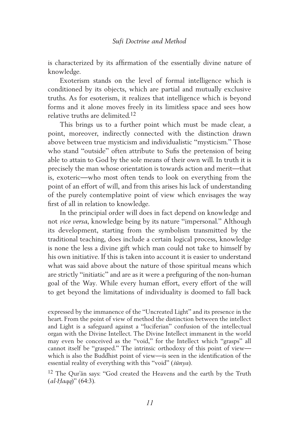is characterized by its affirmation of the essentially divine nature of knowledge.

Exoterism stands on the level of formal intelligence which is conditioned by its objects, which are partial and mutually exclusive truths. As for esoterism, it realizes that intelligence which is beyond forms and it alone moves freely in its limitless space and sees how relative truths are delimited.<sup>12</sup>

This brings us to a further point which must be made clear, a point, moreover, indirectly connected with the distinction drawn above between true mysticism and individualistic "mysticism." Those who stand "outside" often attribute to Sufis the pretension of being able to attain to God by the sole means of their own will. In truth it is precisely the man whose orientation is towards action and merit—that is, exoteric—who most often tends to look on everything from the point of an effort of will, and from this arises his lack of understanding of the purely contemplative point of view which envisages the way first of all in relation to knowledge.

In the principial order will does in fact depend on knowledge and not *vice versa*, knowledge being by its nature "impersonal." Although its development, starting from the symbolism transmitted by the traditional teaching, does include a certain logical process, know ledge is none the less a divine gift which man could not take to himself by his own initiative. If this is taken into account it is easier to understand what was said above about the nature of those spiritual means which are strictly "initiatic" and are as it were a prefiguring of the non-human goal of the Way. While every human effort, every effort of the will to get beyond the limitations of individuality is doomed to fall back

expressed by the immanence of the "Uncreated Light" and its presence in the heart. From the point of view of method the distinction between the intellect and Light is a safeguard against a "luciferian" confusion of the intellectual organ with the Divine Intellect. The Divine Intellect immanent in the world may even be conceived as the "void," for the Intellect which "grasps" all cannot itself be "grasped." The intrinsic orthodoxy of this point of view which is also the Buddhist point of view—is seen in the identification of the essential reality of everything with this "void" (*śūnya*)*.* 

12 The Qurʾān says: "God created the Heavens and the earth by the Truth (*al-Ḥaqq*)" (64:3).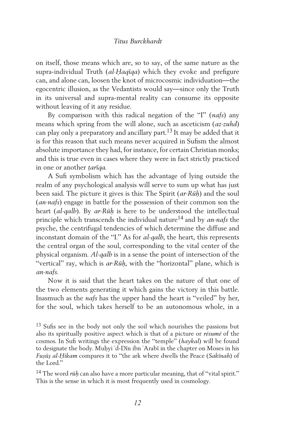on itself, those means which are, so to say, of the same nature as the supra-individual Truth (*al-Ḥaqīqa*) which they evoke and prefigure can, and alone can, loosen the knot of microcosmic individuation—the egocentric illusion, as the Vedantists would say—since only the Truth in its universal and supra-mental reality can consume its opposite without leaving of it any residue.

By comparison with this radical negation of the "I" (*nafs*) any means which spring from the will alone, such as asceticism (*az -zuhd*) can play only a preparatory and ancillary part.13 It may be added that it is for this reason that such means never acquired in Sufism the almost absolute importance they had, for instance, for certain Christian monks; and this is true even in cases where they were in fact strictly practiced in one or another *ṭarīqa*.

A Sufi symbolism which has the advantage of lying outside the realm of any psychological analysis will serve to sum up what has just been said. The picture it gives is this: The Spirit (*ar-Rūḥ*) and the soul (*an-nafs*) engage in battle for the possession of their common son the heart (*al-qalb*). By *ar-Rūh* is here to be understood the intellectual principle which transcends the individual nature14 and by *an-nafs* the psyche, the centrifugal tendencies of which determine the diffuse and inconstant domain of the "I." As for *al-qalb*, the heart, this represents the central organ of the soul, corresponding to the vital center of the physical organism. *Al-qalb* is in a sense the point of intersection of the "vertical" ray, which is *ar-Rūh*, with the "horizontal" plane, which is *an-nafs*.

Now it is said that the heart takes on the nature of that one of the two elements generating it which gains the victory in this battle. Inasmuch as the *nafs* has the upper hand the heart is "veiled" by her, for the soul, which takes herself to be an autonomous whole, in a

<sup>13</sup> Sufis see in the body not only the soil which nourishes the passions but also its spiritually positive aspect which is that of a picture or *résumé* of the cosmos. In Sufi writings the expression the "temple" (*haykal*) will be found to designate the body. Muḥyi ʾd-Dīn ibn ʿArabī in the chapter on Moses in his *Fuṣūṣ al-Ḥikam* compares it to "the ark where dwells the Peace (*Sakīnah*) of the Lord."

14 The word *rūḥ* can also have a more particular meaning, that of "vital spirit." This is the sense in which it is most frequently used in cosmology.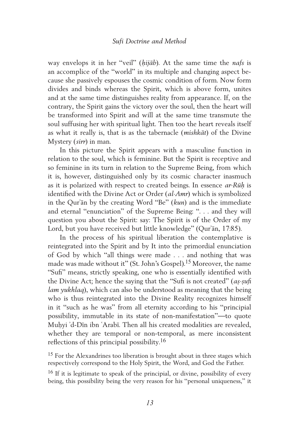#### *Sufi Doctrine and Method*

way envelops it in her "veil" (*ḥijāb*). At the same time the *nafs* is an accomplice of the "world" in its multiple and changing aspect because she passively espouses the cosmic condition of form. Now form divides and binds whereas the Spirit, which is above form, unites and at the same time distinguishes reality from appearance. If, on the contrary, the Spirit gains the victory over the soul, then the heart will be transformed into Spirit and will at the same time transmute the soul suffusing her with spiritual light. Then too the heart reveals itself as what it really is, that is as the tabernacle (*mishkāt*) of the Divine Mystery (*sirr*) in man.

In this picture the Spirit appears with a masculine function in relation to the soul, which is feminine. But the Spirit is receptive and so feminine in its turn in relation to the Supreme Being, from which it is, however, distinguished only by its cosmic character inasmuch as it is polarized with respect to created beings. In essence *ar-Rūḥ* is identified with the Divine Act or Order (*al-Amr*) which is symbolized in the Qurʾān by the creating Word "Be" (*kun*) and is the immediate and eternal "enunciation" of the Supreme Being: ". . . and they will question you about the Spirit: say: The Spirit is of the Order of my Lord, but you have received but little knowledge" (Qurʾān, 17:85).

 the Divine Act; hence the saying that the "Sufi is not created" (*aṣ-ṣufi* In the process of his spiritual liberation the contemplative is reintegrated into the Spirit and by It into the primordial enunciation of God by which "all things were made . . . and nothing that was made was made without it" (St. John's Gospel).<sup>15</sup> Moreover, the name "Sufi" means, strictly speaking, one who is essentially identified with *lam yukhlaq*), which can also be understood as meaning that the being who is thus reintegrated into the Divine Reality recognizes himself in it "such as he was" from all eternity according to his "principial possibility, immutable in its state of non-manifestation"-- to quote Muḥyi ʾd-Dīn ibn ʿArabī. Then all his created modalities are revealed, whether they are temporal or non-temporal, as mere inconsistent reflections of this principial possibility.<sup>16</sup>

<sup>15</sup> For the Alexandrines too liberation is brought about in three stages which respectively correspond to the Holy Spirit, the Word, and God the Father.

<sup>16</sup> If it is legitimate to speak of the principial, or divine, possibility of every being, this possibility being the very reason for his "personal uniqueness," it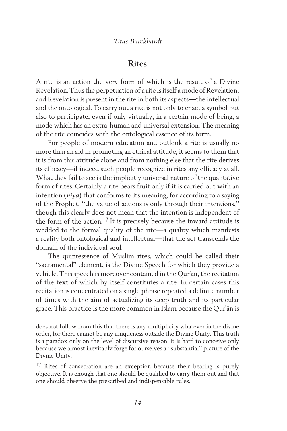### **Rites**

A rite is an action the very form of which is the result of a Divine Revelation. Thus the perpetuation of a rite is itself a mode of Revelation, and Revelation is present in the rite in both its aspects—the intellectual and the ontological. To carry out a rite is not only to enact a symbol but also to participate, even if only virtually, in a certain mode of being, a mode which has an extra-human and universal extension. The meaning of the rite coincides with the ontological essence of its form.

For people of modern education and outlook a rite is usually no more than an aid in promoting an ethical attitude; it seems to them that it is from this attitude alone and from nothing else that the rite derives its efficacy—if indeed such people recognize in rites any efficacy at all. What they fail to see is the implicitly universal nature of the qualitative form of rites. Certainly a rite bears fruit only if it is carried out with an intention (*niya*) that conforms to its meaning, for according to a saying of the Prophet, "the value of actions is only through their intentions," though this clearly does not mean that the intention is independent of the form of the action.17 It is precisely because the inward attitude is wedded to the formal quality of the rite—a quality which manifests a reality both ontological and intellectual—that the act transcends the domain of the individual soul.

The quintessence of Muslim rites, which could be called their "sacramental" element, is the Divine Speech for which they provide a vehicle. This speech is moreover contained in the Qurʾān, the recitation of the text of which by itself constitutes a rite. In certain cases this recitation is concentrated on a single phrase repeated a definite number of times with the aim of actualizing its deep truth and its particular grace. This practice is the more common in Islam because the Qurʾān is

does not follow from this that there is any multiplicity whatever in the divine order, for there cannot be any uniqueness outside the Divine Unity. This truth is a paradox only on the level of discursive reason. It is hard to conceive only because we almost inevitably forge for ourselves a "substantial" picture of the Divine Unity.

<sup>17</sup> Rites of consecration are an exception because their bearing is purely objective. It is enough that one should be qualified to carry them out and that one should observe the prescribed and indispensable rules.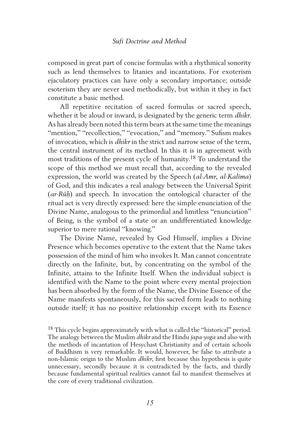composed in great part of concise formulas with a rhythmical sonority such as lend themselves to litanies and incantations. For exoterism ejaculatory practices can have only a secondary importance; outside esoterism they are never used methodically, but within it they in fact constitute a basic method.

All repetitive recitation of sacred formulas or sacred speech, whether it be aloud or inward, is designated by the generic term *dhikr*. As has already been noted this term bears at the same time the meanings "mention," "recollection," "evocation," and "memory." Sufism makes of invocation, which is *dhikr* in the strict and narrow sense of the term, the central instrument of its method. In this it is in agreement with most traditions of the present cycle of humanity.18 To understand the scope of this method we must recall that, according to the revealed expression, the world was created by the Speech (*al-Amr*, *al-Kalīma*) of God, and this indicates a real analogy between the Universal Spirit (*ar-Rūḥ*) and speech. In invocation the ontological character of the ritual act is very directly expressed: here the simple enunciation of the Divine Name, analogous to the primordial and limitless "enunciation" of Being, is the symbol of a state or an undifferentiated knowledge superior to mere rational "knowing."

The Divine Name, revealed by God Himself, implies a Divine Presence which becomes operative to the extent that the Name takes possession of the mind of him who invokes It. Man cannot concentrate directly on the Infinite, but, by concentrating on the symbol of the Infinite, attains to the Infinite Itself. When the individual subject is identified with the Name to the point where every mental projection has been absorbed by the form of the Name, the Divine Essence of the Name manifests spontaneously, for this sacred form leads to nothing outside itself; it has no positive relationship except with its Essence

<sup>18</sup> This cycle begins approximately with what is called the "historical" period. The analogy between the Muslim *dhikr* and the Hindu *japa-yoga* and also with the methods of incantation of Hesychast Christianity and of certain schools of Buddhism is very remarkable. It would, however, be false to attribute a non-Islamic origin to the Muslim *dhikr*, first because this hypothesis is quite unnecessary, secondly because it is contradicted by the facts, and thirdly because fundamental spiritual realities cannot fail to manifest themselves at the core of every traditional civilization.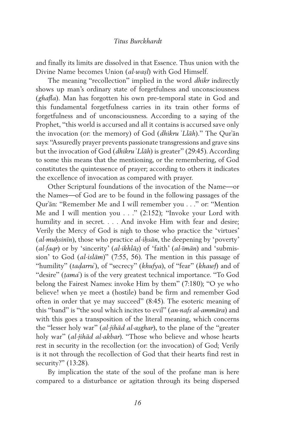and finally its limits are dissolved in that Essence. Thus union with the Divine Name becomes Union (*al-waṣl*) with God Himself.

The meaning "recollection" implied in the word *dhikr* indirectly shows up man's ordinary state of forgetfulness and unconsciousness (*ghafla*)*.* Man has forgotten his own pre-temporal state in God and this fundamental forgetfulness carries in its train other forms of forgetfulness and of unconsciousness. According to a saying of the Prophet, "this world is accursed and all it contains is accursed save only the invocation (or: the memory) of God (*dhikru ʾLlāh*)*.*" The Qurʾān says: "Assuredly prayer prevents passionate transgressions and grave sins but the invocation of God (*dhikru ʾLlāh*) is greater" (29:45). According to some this means that the mentioning, or the remembering, of God constitutes the quintessence of prayer; ac cording to others it indicates the excellence of invocation as compared with prayer.

Other Scriptural foundations of the invocation of the Name—or the Names—of God are to be found in the following passages of the Qurʾān: "Remember Me and I will remember you . . ." or: "Mention Me and I will mention you  $\ldots$  " (2:152); "Invoke your Lord with humility and in secret. . . . And invoke Him with fear and desire; Verily the Mercy of God is nigh to those who practice the 'virtues' (*al-muḥsinīn*), those who practice *al-iḥsān*, the deepening by 'poverty' (*al-faqr*) or by 'sincerity' (*al-ikhlāṣ*) of 'faith' (*al-īmān*) and 'submission' to God (*al-islām*)" (7:55, 56). The mention in this passage of "humility" (*taḍarruʿ*), of "secrecy" (*khufya*), of "fear" (*khawf*) and of "desire" (*tama*<sup>°</sup>) is of the very greatest technical importance. "To God belong the Fairest Names: invoke Him by them" (7:180); "O ye who believe! when ye meet a (hostile) band be firm and remember God often in order that ye may succeed" (8:45). The esoteric meaning of this "band" is "the soul which incites to evil" (*an-nafs al-ammāra*) and with this goes a transposition of the literal meaning, which concerns the "lesser holy war" (*al-jihād al-aṣghar*), to the plane of the "greater holy war" (*al-jihād al-akbar*). "Those who believe and whose hearts rest in security in the recollection (or: the invocation) of God; Verily is it not through the recollection of God that their hearts find rest in security?" (13:28).

By implication the state of the soul of the profane man is here compared to a disturbance or agitation through its being dispersed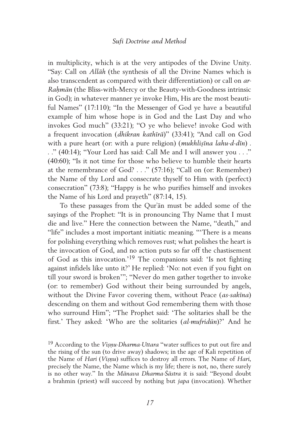in multiplicity, which is at the very antipodes of the Divine Unity. "Say: Call on *Allāh* (the synthesis of all the Divine Names which is also transcendent as compared with their differentiation) or call on *ar-Raḥmān* (the Bliss-with-Mercy or the Beauty-with-Goodness intrinsic in God); in whatever manner ye invoke Him, His are the most beautiful Names" (17:110); "In the Messenger of God ye have a beautiful example of him whose hope is in God and the Last Day and who invokes God much" (33:21); "O ye who believe! invoke God with a frequent invocation (*dhikran kathīrā*)" (33:41); "And call on God with a pure heart (or: with a pure religion) (*mukhliṣīna lahu-d-dīn*) . . ." (40:14); "Your Lord has said: Call Me and I will answer you . . ." (40:60); "Is it not time for those who believe to humble their hearts at the remembrance of God? . . ." (57:16); "Call on (or: Remember) the Name of thy Lord and consecrate thyself to Him with (perfect) consecration" (73:8); "Happy is he who purifies himself and invokes the Name of his Lord and prayeth" (87:14, 15).

To these passages from the Qurʾān must be added some of the sayings of the Prophet: "It is in pronouncing Thy Name that I must die and live." Here the connection between the Name, "death," and "life" includes a most important initiatic meaning. "'There is a means for polishing everything which removes rust; what polishes the heart is the invocation of God, and no action puts so far off the chastisement of God as this invocation.'19 The companions said: 'Is not fighting against infidels like unto it?' He replied: 'No: not even if you fight on till your sword is broken'"; "Never do men gather together to invoke (or: to remember) God without their being surrounded by angels, without the Divine Favor covering them, without Peace (*as-sakīna*) descending on them and without God remembering them with those who surround Him"; "The Prophet said: 'The solitaries shall be the first.' They asked: 'Who are the solitaries (*al-mufridūn*)?' And he

<sup>19</sup> According to the *Viṣṇu-Dharma-Uttara* "water suffices to put out fire and the rising of the sun (to drive away) shadows; in the age of Kali repetition of the Name of *Hari* (*Viṣṇu*) suffices to destroy all errors. The Name of *Hari*, precisely the Name, the Name which is my life; there is not, no, there surely is no other way." In the *Mānava Dharma-Śāstra* it is said: "Beyond doubt a brahmin (priest) will succeed by nothing but *japa* (invocation). Whether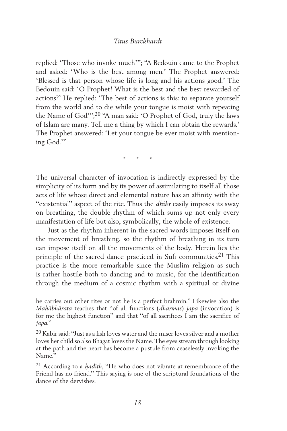replied: 'Those who invoke much'"; "A Bedouin came to the Prophet and asked: 'Who is the best among men.' The Prophet answered: 'Blessed is that person whose life is long and his actions good.' The Bedouin said: 'O Prophet! What is the best and the best rewarded of actions?' He replied: 'The best of actions is this: to separate yourself from the world and to die while your tongue is moist with repeating the Name of God'";20 "A man said: 'O Prophet of God, truly the laws of Islam are many. Tell me a thing by which I can obtain the rewards.' The Prophet answered: 'Let your tongue be ever moist with mentioning God.'"

\* \* \*

The universal character of invocation is indirectly expressed by the simplicity of its form and by its power of assimilating to itself all those acts of life whose direct and elemental nature has an affinity with the "existential" aspect of the rite. Thus the *dhikr* easily imposes its sway on breathing, the double rhythm of which sums up not only every manifestation of life but also, symbolically, the whole of existence.

principle of the sacred dance practiced in Sufi communities.<sup>21</sup> This Just as the rhythm inherent in the sacred words imposes itself on the movement of breathing, so the rhythm of breathing in its turn can impose itself on all the movements of the body. Herein lies the practice is the more remarkable since the Muslim religion as such is rather hostile both to dancing and to music, for the identification through the medium of a cosmic rhythm with a spiritual or divine

he carries out other rites or not he is a perfect brahmin." Likewise also the *Mahābhārata* teaches that "of all functions (*dharmas*) *japa* (invocation) is for me the highest function" and that "of all sacrifices I am the sacrifice of *japa*."

<sup>20</sup> Kabīr said: "Just as a fish loves water and the miser loves silver and a mother loves her child so also Bhagat loves the Name. The eyes stream through looking at the path and the heart has become a pustule from ceaselessly invoking the Name."

21 According to a *ḥadīth*, "He who does not vibrate at remembrance of the Friend has no friend." This saying is one of the scriptural foundations of the dance of the dervishes.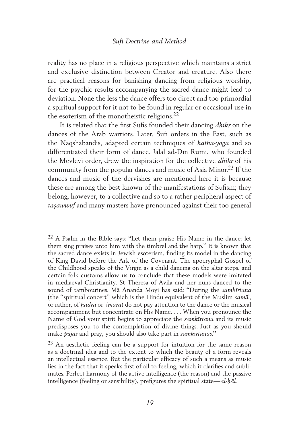#### *Sufi Doctrine and Method*

reality has no place in a religious perspective which maintains a strict and exclusive distinction between Creator and creature. Also there are practical reasons for banishing dancing from religious worship, for the psychic results accompanying the sacred dance might lead to deviation. None the less the dance offers too direct and too primordial a spiritual support for it not to be found in regular or occasional use in the esoterism of the monotheistic religions.22

It is related that the first Sufis founded their dancing *dhikr* on the dances of the Arab warriors. Later, Sufi orders in the East, such as the Naqshabandis, adapted certain techniques of *hatha-yoga* and so differentiated their form of dance. Jalāl ad-Dīn Rūmī, who founded the Mevlevī order, drew the inspiration for the collective *dhikr* of his community from the popular dances and music of Asia Minor.<sup>23</sup> If the dances and music of the dervishes are mentioned here it is because these are among the best known of the manifestations of Sufism; they belong, however, to a collective and so to a rather peripheral aspect of *taṣawwuf* and many masters have pronounced against their too general

 $22$  A Psalm in the Bible says: "Let them praise His Name in the dance: let them sing praises unto him with the timbrel and the harp." It is known that the sacred dance exists in Jewish esoterism, finding its model in the dancing of King David before the Ark of the Covenant. The apocryphal Gospel of the Childhood speaks of the Virgin as a child dancing on the altar steps, and certain folk customs allow us to conclude that these models were imitated in mediaeval Christianity. St Theresa of Avila and her nuns danced to the sound of tambourines. Mā Ananda Moyi has said: "During the *samkīrtana*  (the "spiritual concert" which is the Hindu equivalent of the Muslim *samāʿ*, or rather, of *ḥadra* or *ʿimāra*) do not pay attention to the dance or the musical accompaniment but concentrate on His Name. . . . When you pronounce the Name of God your spirit begins to appreciate the *samkīrtana* and its music predisposes you to the contemplation of divine things. Just as you should make *pūjās* and pray, you should also take part in *samkīrtanas*."

 $23$  An aesthetic feeling can be a support for intuition for the same reason as a doctrinal idea and to the extent to which the beauty of a form reveals an intellectual essence. But the particular efficacy of such a means as music lies in the fact that it speaks first of all to feeling, which it clarifies and sublimates. Perfect harmony of the active intelligence (the reason) and the passive intelligence (feeling or sensibility), prefigures the spiritual state—*al-ḥāl*.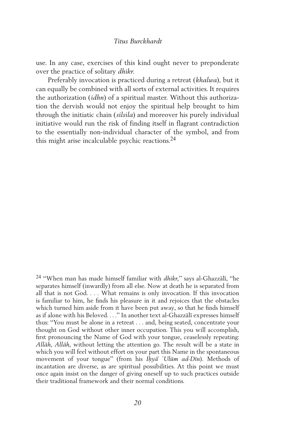use. In any case, exercises of this kind ought never to preponderate over the practice of solitary *dhikr*.

Preferably invocation is practiced during a retreat (*khalwa*)*,* but it can equally be combined with all sorts of external activities. It requires the authorization (*idhn*) of a spiritual master. Without this authorization the dervish would not enjoy the spiritual help brought to him through the initiatic chain (*silsila*) and moreover his purely individual initiative would run the risk of finding itself in flagrant contradiction to the essentially non-individual character of the symbol, and from this might arise incalculable psychic reactions.<sup>24</sup>

24 "When man has made himself familiar with *dhikr*," says al-Ghazzālī, "he separates himself (inwardly) from all else. Now at death he is separated from all that is not God. . . . What remains is only invocation. If this invocation is familiar to him, he finds his pleasure in it and rejoices that the obstacles which turned him aside from it have been put away, so that he finds himself as if alone with his Beloved. . . ." In another text al-Ghazzālī expresses himself thus: "You must be alone in a retreat . . . and, being seated, concentrate your thought on God without other inner occupation. This you will accomplish, first pronouncing the Name of God with your tongue, ceaselessly repeating: *Allāh*, *Allāh*, without letting the attention go. The result will be a state in which you will feel without effort on your part this Name in the spontaneous movement of your tongue" (from his *Iḥyāʾ ʿUlūm ad-Dīn*)*.* Methods of incantation are diverse, as are spiritual possibilities. At this point we must once again insist on the danger of giving oneself up to such practices outside their traditional framework and their normal conditions.